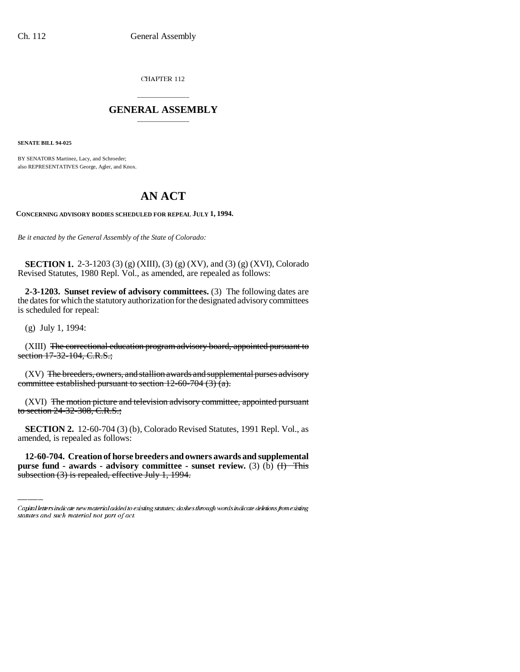CHAPTER 112

## \_\_\_\_\_\_\_\_\_\_\_\_\_\_\_ **GENERAL ASSEMBLY** \_\_\_\_\_\_\_\_\_\_\_\_\_\_\_

**SENATE BILL 94-025**

BY SENATORS Martinez, Lacy, and Schroeder; also REPRESENTATIVES George, Agler, and Knox.

## **AN ACT**

**CONCERNING ADVISORY BODIES SCHEDULED FOR REPEAL JULY 1, 1994.**

*Be it enacted by the General Assembly of the State of Colorado:*

**SECTION 1.** 2-3-1203 (3) (g) (XIII), (3) (g) (XV), and (3) (g) (XVI), Colorado Revised Statutes, 1980 Repl. Vol., as amended, are repealed as follows:

**2-3-1203. Sunset review of advisory committees.** (3) The following dates are the dates for which the statutory authorization for the designated advisory committees is scheduled for repeal:

(g) July 1, 1994:

(XIII) The correctional education program advisory board, appointed pursuant to section 17-32-104, C.R.S.;

(XV) The breeders, owners, and stallion awards and supplemental purses advisory committee established pursuant to section 12-60-704 (3) (a).

(XVI) The motion picture and television advisory committee, appointed pursuant to section 24-32-308, C.R.S.;

amended, is repealed as follows: **SECTION 2.** 12-60-704 (3) (b), Colorado Revised Statutes, 1991 Repl. Vol., as

**12-60-704. Creation of horse breeders and owners awards and supplemental purse fund - awards - advisory committee - sunset review.** (3) (b)  $\overline{H}$  This subsection (3) is repealed, effective July 1, 1994.

Capital letters indicate new material added to existing statutes; dashes through words indicate deletions from existing statutes and such material not part of act.